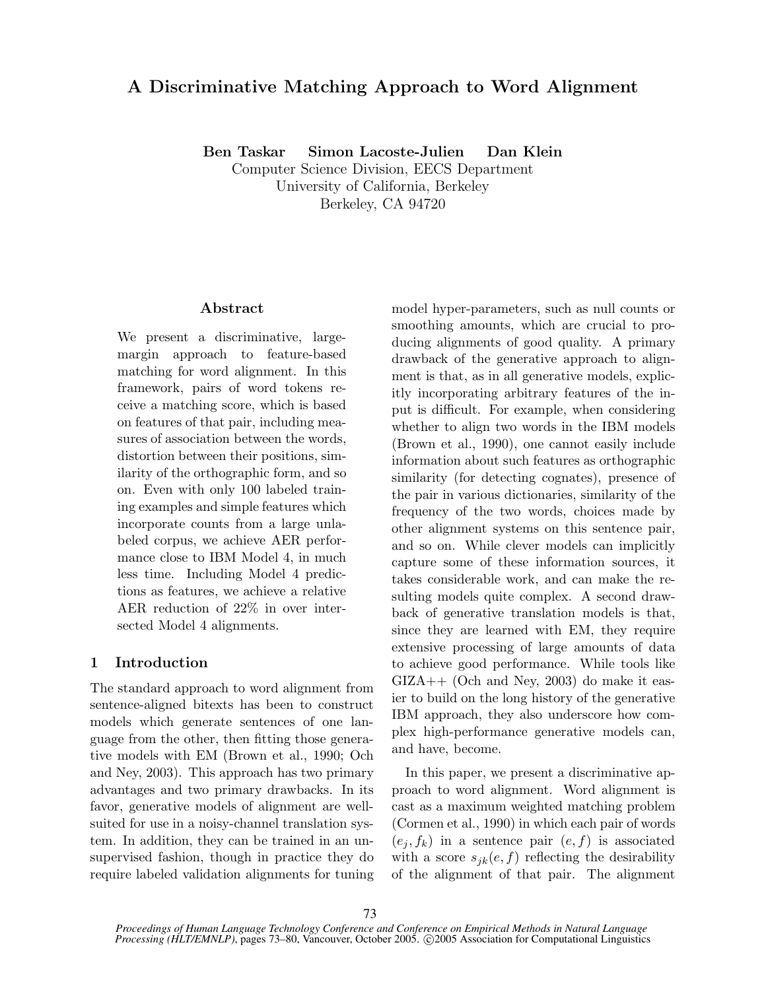# **A Discriminative Matching Approach to Word Alignment**

**Ben Taskar Simon Lacoste-Julien Dan Klein**

Computer Science Division, EECS Department University of California, Berkeley Berkeley, CA 94720

# **Abstract**

We present a discriminative, largemargin approach to feature-based matching for word alignment. In this framework, pairs of word tokens receive a matching score, which is based on features of that pair, including measures of association between the words, distortion between their positions, similarity of the orthographic form, and so on. Even with only 100 labeled training examples and simple features which incorporate counts from a large unlabeled corpus, we achieve AER performance close to IBM Model 4, in much less time. Including Model 4 predictions as features, we achieve a relative AER reduction of 22% in over intersected Model 4 alignments.

# **1 Introduction**

The standard approach to word alignment from sentence-aligned bitexts has been to construct models which generate sentences of one language from the other, then fitting those generative models with EM (Brown et al., 1990; Och and Ney, 2003). This approach has two primary advantages and two primary drawbacks. In its favor, generative models of alignment are wellsuited for use in a noisy-channel translation system. In addition, they can be trained in an unsupervised fashion, though in practice they do require labeled validation alignments for tuning model hyper-parameters, such as null counts or smoothing amounts, which are crucial to producing alignments of good quality. A primary drawback of the generative approach to alignment is that, as in all generative models, explicitly incorporating arbitrary features of the input is difficult. For example, when considering whether to align two words in the IBM models (Brown et al., 1990), one cannot easily include information about such features as orthographic similarity (for detecting cognates), presence of the pair in various dictionaries, similarity of the frequency of the two words, choices made by other alignment systems on this sentence pair, and so on. While clever models can implicitly capture some of these information sources, it takes considerable work, and can make the resulting models quite complex. A second drawback of generative translation models is that, since they are learned with EM, they require extensive processing of large amounts of data to achieve good performance. While tools like GIZA++ (Och and Ney, 2003) do make it easier to build on the long history of the generative IBM approach, they also underscore how complex high-performance generative models can, and have, become.

In this paper, we present a discriminative approach to word alignment. Word alignment is cast as a maximum weighted matching problem (Cormen et al., 1990) in which each pair of words  $(e_i, f_k)$  in a sentence pair  $(e, f)$  is associated with a score  $s_{jk}(e, f)$  reflecting the desirability of the alignment of that pair. The alignment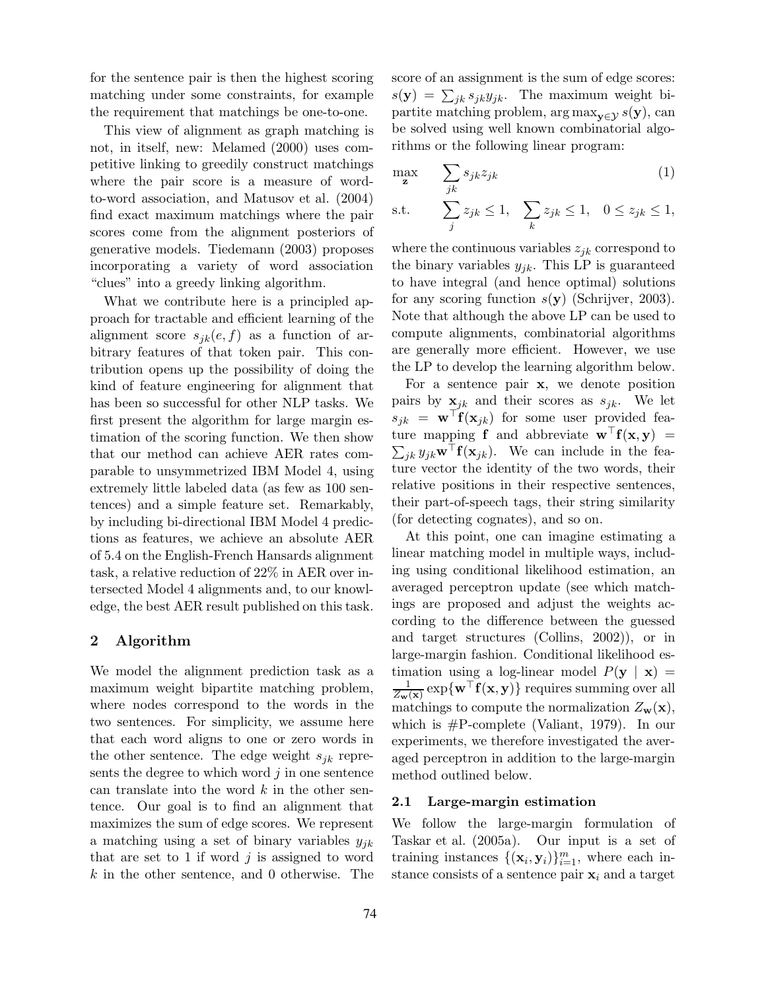for the sentence pair is then the highest scoring matching under some constraints, for example the requirement that matchings be one-to-one.

This view of alignment as graph matching is not, in itself, new: Melamed (2000) uses competitive linking to greedily construct matchings where the pair score is a measure of wordto-word association, and Matusov et al. (2004) find exact maximum matchings where the pair scores come from the alignment posteriors of generative models. Tiedemann (2003) proposes incorporating a variety of word association "clues" into a greedy linking algorithm.

What we contribute here is a principled approach for tractable and efficient learning of the alignment score  $s_{ik}(e, f)$  as a function of arbitrary features of that token pair. This contribution opens up the possibility of doing the kind of feature engineering for alignment that has been so successful for other NLP tasks. We first present the algorithm for large margin estimation of the scoring function. We then show that our method can achieve AER rates comparable to unsymmetrized IBM Model 4, using extremely little labeled data (as few as 100 sentences) and a simple feature set. Remarkably, by including bi-directional IBM Model 4 predictions as features, we achieve an absolute AER of 5.4 on the English-French Hansards alignment task, a relative reduction of 22% in AER over intersected Model 4 alignments and, to our knowledge, the best AER result published on this task.

# **2 Algorithm**

We model the alignment prediction task as a maximum weight bipartite matching problem, where nodes correspond to the words in the two sentences. For simplicity, we assume here that each word aligns to one or zero words in the other sentence. The edge weight  $s_{jk}$  represents the degree to which word  $j$  in one sentence can translate into the word  $k$  in the other sentence. Our goal is to find an alignment that maximizes the sum of edge scores. We represent a matching using a set of binary variables  $y_{jk}$ that are set to 1 if word  $j$  is assigned to word k in the other sentence, and 0 otherwise. The score of an assignment is the sum of edge scores:  $s(\mathbf{y}) = \sum_{jk} s_{jk} y_{jk}$ . The maximum weight bipartite matching problem,  $\arg \max_{\mathbf{y} \in \mathcal{Y}} s(\mathbf{y})$ , can be solved using well known combinatorial algorithms or the following linear program:

$$
\max_{\mathbf{z}} \qquad \sum_{jk} s_{jk} z_{jk} \tag{1}
$$

s.t. 
$$
\sum_{j} z_{jk} \leq 1, \quad \sum_{k} z_{jk} \leq 1, \quad 0 \leq z_{jk} \leq 1,
$$

where the continuous variables  $z_{ik}$  correspond to the binary variables  $y_{ik}$ . This LP is guaranteed to have integral (and hence optimal) solutions for any scoring function s(**y**) (Schrijver, 2003). Note that although the above LP can be used to compute alignments, combinatorial algorithms are generally more efficient. However, we use the LP to develop the learning algorithm below.

For a sentence pair **x**, we denote position pairs by  $\mathbf{x}_{jk}$  and their scores as  $s_{jk}$ . We let  $s_{jk} = \mathbf{w}^\top \mathbf{f}(\mathbf{x}_{jk})$  for some user provided feature mapping **f** and abbreviate  $\mathbf{w}^{\top} \mathbf{f}(\mathbf{x}, \mathbf{y})$  =  $\sum_{jk} y_{jk} \mathbf{w}^{\top} \mathbf{f}(\mathbf{x}_{jk})$ . We can include in the feature vector the identity of the two words, their relative positions in their respective sentences, their part-of-speech tags, their string similarity (for detecting cognates), and so on.

At this point, one can imagine estimating a linear matching model in multiple ways, including using conditional likelihood estimation, an averaged perceptron update (see which matchings are proposed and adjust the weights according to the difference between the guessed and target structures (Collins, 2002)), or in large-margin fashion. Conditional likelihood estimation using a log-linear model  $P(\mathbf{y} \mid \mathbf{x}) =$  $\frac{1}{Z_{\mathbf{w}}(\mathbf{x})} \exp\{\mathbf{w}^\top \mathbf{f}(\mathbf{x}, \mathbf{y})\}$  requires summing over all matchings to compute the normalization  $Z_{\mathbf{w}}(\mathbf{x}),$ which is #P-complete (Valiant, 1979). In our experiments, we therefore investigated the averaged perceptron in addition to the large-margin method outlined below.

### **2.1 Large-margin estimation**

We follow the large-margin formulation of Taskar et al. (2005a). Our input is a set of training instances  $\{(\mathbf{x}_i, \mathbf{y}_i)\}_{i=1}^m$ , where each instance consists of a sentence pair  $x_i$  and a target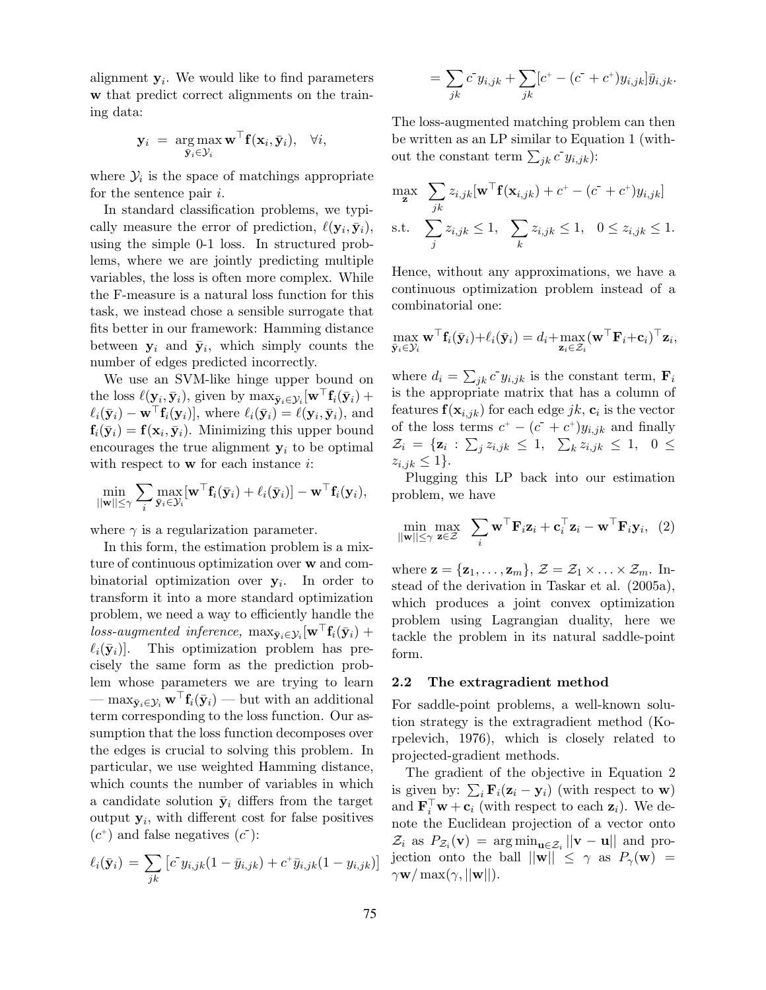alignment  $y_i$ . We would like to find parameters **w** that predict correct alignments on the training data:

$$
\mathbf{y}_i = \arg_{\bar{\mathbf{y}}_i \in \mathcal{Y}_i} \mathbf{w}^{\top} \mathbf{f}(\mathbf{x}_i, \bar{\mathbf{y}}_i), \quad \forall i,
$$

where  $\mathcal{Y}_i$  is the space of matchings appropriate for the sentence pair  $i$ .

In standard classification problems, we typically measure the error of prediction,  $\ell(\mathbf{y}_i, \bar{\mathbf{y}}_i)$ , using the simple 0-1 loss. In structured problems, where we are jointly predicting multiple variables, the loss is often more complex. While the F-measure is a natural loss function for this task, we instead chose a sensible surrogate that fits better in our framework: Hamming distance between  $y_i$  and  $\bar{y}_i$ , which simply counts the number of edges predicted incorrectly.

We use an SVM-like hinge upper bound on the loss  $\ell(\mathbf{y}_i, \bar{\mathbf{y}}_i)$ , given by  $\max_{\bar{\mathbf{y}}_i \in \mathcal{Y}_i} [\mathbf{w}^\top \mathbf{f}_i(\bar{\mathbf{y}}_i) +$  $\ell_i(\bar{\mathbf{y}}_i) - \mathbf{w}^\top \mathbf{f}_i(\mathbf{y}_i)$ , where  $\ell_i(\bar{\mathbf{y}}_i) = \ell(\mathbf{y}_i, \bar{\mathbf{y}}_i)$ , and  $\mathbf{f}_i(\bar{\mathbf{y}}_i) = \mathbf{f}(\mathbf{x}_i, \bar{\mathbf{y}}_i)$ . Minimizing this upper bound encourages the true alignment  $y_i$  to be optimal with respect to **w** for each instance *i*:

$$
\min_{\|\mathbf{w}\| \leq \gamma} \sum_i \max_{\bar{\mathbf{y}}_i \in \mathcal{Y}_i} [\mathbf{w}^\top \mathbf{f}_i(\bar{\mathbf{y}}_i) + \ell_i(\bar{\mathbf{y}}_i)] - \mathbf{w}^\top \mathbf{f}_i(\mathbf{y}_i),
$$

where  $\gamma$  is a regularization parameter.

In this form, the estimation problem is a mixture of continuous optimization over **w** and combinatorial optimization over  $y_i$ . In order to transform it into a more standard optimization problem, we need a way to efficiently handle the  $loss-augmented$  inference,  $\max_{\bar{\mathbf{y}}_i \in \mathcal{Y}_i} [\mathbf{w}^{\top} \mathbf{f}_i(\bar{\mathbf{y}}_i) +$  $\ell_i(\bar{\mathbf{y}}_i)$ . This optimization problem has precisely the same form as the prediction problem whose parameters we are trying to learn  $-\max_{\bar{\mathbf{y}}_i \in \mathcal{Y}_i} \mathbf{w}^\top \mathbf{f}_i(\bar{\mathbf{y}}_i) - \text{but with an additional}$ term corresponding to the loss function. Our assumption that the loss function decomposes over the edges is crucial to solving this problem. In particular, we use weighted Hamming distance, which counts the number of variables in which a candidate solution  $\bar{y}_i$  differs from the target output  $y_i$ , with different cost for false positives  $(c^+)$  and false negatives  $(c^-)$ :

$$
\ell_i(\bar{\mathbf{y}}_i) = \sum_{jk} \left[ c^{\dagger} y_{i,jk} (1 - \bar{y}_{i,jk}) + c^{\dagger} \bar{y}_{i,jk} (1 - y_{i,jk}) \right]
$$

$$
= \sum_{jk} c^{\dagger} y_{i,jk} + \sum_{jk} [c^+ - (c^- + c^+) y_{i,jk}] \bar{y}_{i,jk}.
$$

The loss-augmented matching problem can then be written as an LP similar to Equation 1 (without the constant term  $\sum_{jk} c^{\dagger} y_{i,jk}$ ):

$$
\max_{\mathbf{z}} \sum_{j,k} z_{i,jk} [\mathbf{w}^\top \mathbf{f}(\mathbf{x}_{i,jk}) + c^+ - (c^+ + c^+) y_{i,jk}]
$$
  
s.t. 
$$
\sum_{j} z_{i,jk} \le 1, \sum_{k} z_{i,jk} \le 1, \quad 0 \le z_{i,jk} \le 1.
$$

Hence, without any approximations, we have a continuous optimization problem instead of a combinatorial one:

$$
\max_{\bar{\mathbf{y}}_i \in \mathcal{Y}_i} \mathbf{w}^\top \mathbf{f}_i(\bar{\mathbf{y}}_i) + \ell_i(\bar{\mathbf{y}}_i) = d_i + \max_{\mathbf{z}_i \in \mathcal{Z}_i} (\mathbf{w}^\top \mathbf{F}_i + \mathbf{c}_i)^\top \mathbf{z}_i,
$$

where  $d_i = \sum_{jk} c^{\dagger} y_{i,jk}$  is the constant term,  $\mathbf{F}_i$ is the appropriate matrix that has a column of features  $f(\mathbf{x}_{i,jk})$  for each edge *jk*,  $\mathbf{c}_i$  is the vector of the loss terms  $c^+ - (c^- + c^+) y_{i,jk}$  and finally  $\mathcal{Z}_i = {\mathbf{z}_i : \sum_j z_{i,jk} \leq 1, \sum_k z_{i,jk} \leq 1, 0 \leq$  $z_{i,j,k} \leq 1$ .

Plugging this LP back into our estimation problem, we have

$$
\min_{\|\mathbf{w}\| \leq \gamma} \max_{\mathbf{z} \in \mathcal{Z}} \sum_{i} \mathbf{w}^{\top} \mathbf{F}_{i} \mathbf{z}_{i} + \mathbf{c}_{i}^{\top} \mathbf{z}_{i} - \mathbf{w}^{\top} \mathbf{F}_{i} \mathbf{y}_{i}, \quad (2)
$$

where  $\mathbf{z} = {\mathbf{z}_1, \ldots, \mathbf{z}_m}$ ,  $\mathcal{Z} = \mathcal{Z}_1 \times \ldots \times \mathcal{Z}_m$ . Instead of the derivation in Taskar et al. (2005a), which produces a joint convex optimization problem using Lagrangian duality, here we tackle the problem in its natural saddle-point form.

#### **2.2 The extragradient method**

For saddle-point problems, a well-known solution strategy is the extragradient method (Korpelevich, 1976), which is closely related to projected-gradient methods.

The gradient of the objective in Equation 2 is given by:  $\sum_i \mathbf{F}_i(\mathbf{z}_i - \mathbf{y}_i)$  (with respect to **w**) and  $\mathbf{F}_i^{\perp} \mathbf{w} + \mathbf{c}_i$  (with respect to each  $\mathbf{z}_i$ ). We denote the Euclidean projection of a vector onto  $\mathcal{Z}_i$  as  $P_{\mathcal{Z}_i}(\mathbf{v}) = \arg\min_{\mathbf{u} \in \mathcal{Z}_i} ||\mathbf{v} - \mathbf{u}||$  and projection onto the ball  $||\mathbf{w}|| \leq \gamma$  as  $P_{\gamma}(\mathbf{w}) =$  $\gamma \mathbf{w} / \max(\gamma, ||\mathbf{w}||).$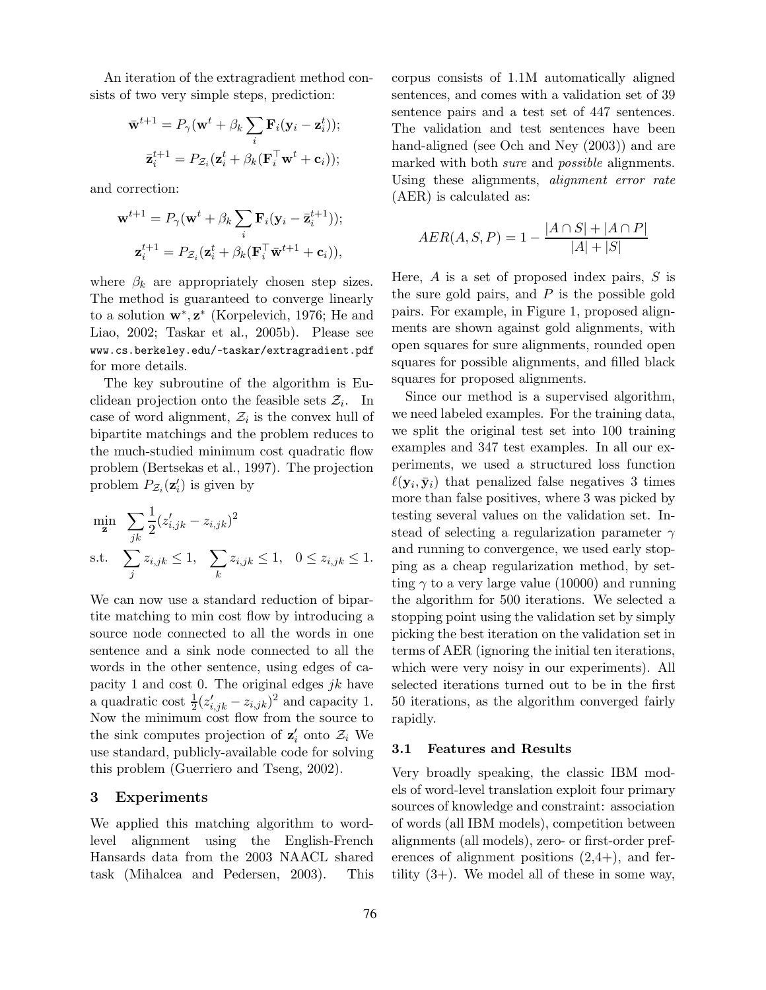An iteration of the extragradient method consists of two very simple steps, prediction:

$$
\bar{\mathbf{w}}^{t+1} = P_{\gamma}(\mathbf{w}^t + \beta_k \sum_i \mathbf{F}_i(\mathbf{y}_i - \mathbf{z}_i^t));
$$

$$
\bar{\mathbf{z}}_i^{t+1} = P_{\mathcal{Z}_i}(\mathbf{z}_i^t + \beta_k (\mathbf{F}_i^{\top} \mathbf{w}^t + \mathbf{c}_i));
$$

and correction:

$$
\mathbf{w}^{t+1} = P_{\gamma}(\mathbf{w}^t + \beta_k \sum_i \mathbf{F}_i(\mathbf{y}_i - \mathbf{\bar{z}}_i^{t+1}));
$$

$$
\mathbf{z}_i^{t+1} = P_{\mathcal{Z}_i}(\mathbf{z}_i^t + \beta_k (\mathbf{F}_i^\top \mathbf{\bar{w}}^{t+1} + \mathbf{c}_i)),
$$

where  $\beta_k$  are appropriately chosen step sizes. The method is guaranteed to converge linearly to a solution **w**∗, **z**<sup>∗</sup> (Korpelevich, 1976; He and Liao, 2002; Taskar et al., 2005b). Please see www.cs.berkeley.edu/~taskar/extragradient.pdf for more details.

The key subroutine of the algorithm is Euclidean projection onto the feasible sets  $\mathcal{Z}_i$ . In case of word alignment,  $\mathcal{Z}_i$  is the convex hull of bipartite matchings and the problem reduces to the much-studied minimum cost quadratic flow problem (Bertsekas et al., 1997). The projection problem  $P_{\mathcal{Z}_i}(\mathbf{z}'_i)$  is given by

$$
\min_{\mathbf{z}} \sum_{jk} \frac{1}{2} (z'_{i,jk} - z_{i,jk})^2
$$
\n
$$
\text{s.t.} \sum_{j} z_{i,jk} \le 1, \sum_{k} z_{i,jk} \le 1, \quad 0 \le z_{i,jk} \le 1.
$$

We can now use a standard reduction of bipartite matching to min cost flow by introducing a source node connected to all the words in one sentence and a sink node connected to all the words in the other sentence, using edges of capacity 1 and cost 0. The original edges  $jk$  have a quadratic cost  $\frac{1}{2} (z'_{i,jk} - z_{i,jk})^2$  and capacity 1. Now the minimum cost flow from the source to the sink computes projection of  $\mathbf{z}'_i$  onto  $\mathcal{Z}_i$  We use standard, publicly-available code for solving this problem (Guerriero and Tseng, 2002).

## **3 Experiments**

We applied this matching algorithm to wordlevel alignment using the English-French Hansards data from the 2003 NAACL shared task (Mihalcea and Pedersen, 2003). This corpus consists of 1.1M automatically aligned sentences, and comes with a validation set of 39 sentence pairs and a test set of 447 sentences. The validation and test sentences have been hand-aligned (see Och and Ney (2003)) and are marked with both *sure* and *possible* alignments. Using these alignments, *alignment error rate* (AER) is calculated as:

$$
AER(A, S, P) = 1 - \frac{|A \cap S| + |A \cap P|}{|A| + |S|}
$$

Here,  $A$  is a set of proposed index pairs,  $S$  is the sure gold pairs, and  $P$  is the possible gold pairs. For example, in Figure 1, proposed alignments are shown against gold alignments, with open squares for sure alignments, rounded open squares for possible alignments, and filled black squares for proposed alignments.

Since our method is a supervised algorithm, we need labeled examples. For the training data, we split the original test set into 100 training examples and 347 test examples. In all our experiments, we used a structured loss function  $\ell(\mathbf{y}_i, \bar{\mathbf{y}}_i)$  that penalized false negatives 3 times more than false positives, where 3 was picked by testing several values on the validation set. Instead of selecting a regularization parameter  $\gamma$ and running to convergence, we used early stopping as a cheap regularization method, by setting  $\gamma$  to a very large value (10000) and running the algorithm for 500 iterations. We selected a stopping point using the validation set by simply picking the best iteration on the validation set in terms of AER (ignoring the initial ten iterations, which were very noisy in our experiments). All selected iterations turned out to be in the first 50 iterations, as the algorithm converged fairly rapidly.

### **3.1 Features and Results**

Very broadly speaking, the classic IBM models of word-level translation exploit four primary sources of knowledge and constraint: association of words (all IBM models), competition between alignments (all models), zero- or first-order preferences of alignment positions  $(2,4+)$ , and fertility  $(3+)$ . We model all of these in some way,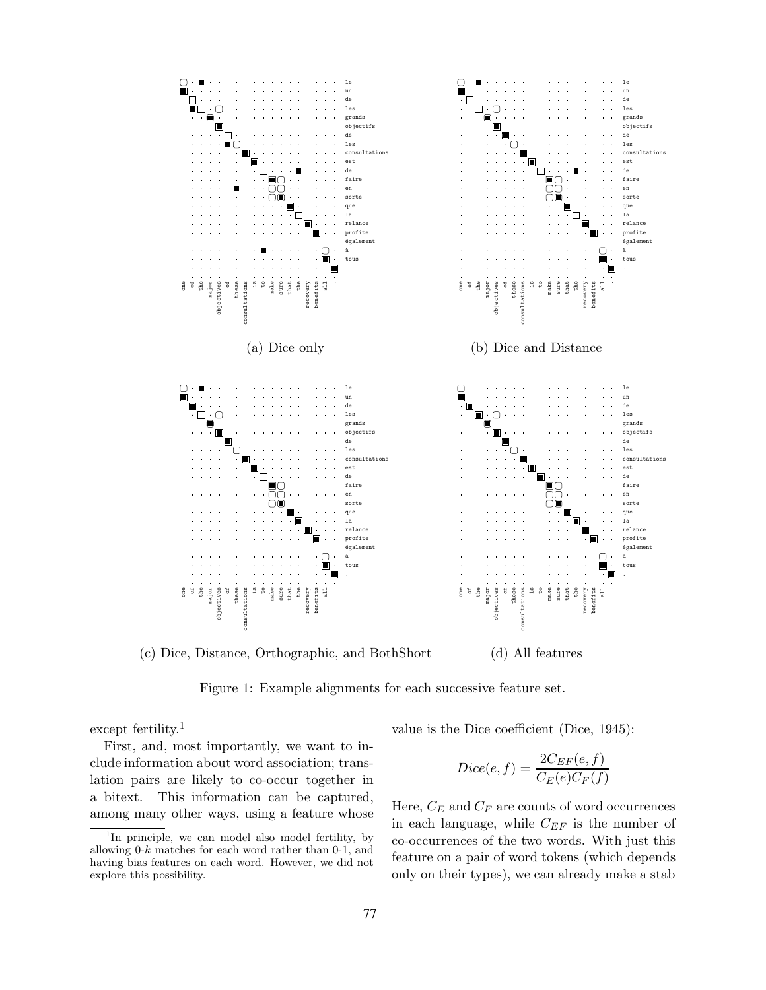

(c) Dice, Distance, Orthographic, and BothShort (d) All features

Figure 1: Example alignments for each successive feature set.

except fertility.<sup>1</sup>

First, and, most importantly, we want to include information about word association; translation pairs are likely to co-occur together in a bitext. This information can be captured, among many other ways, using a feature whose value is the Dice coefficient (Dice, 1945):

$$
Dice(e, f) = \frac{2C_{EF}(e, f)}{C_{E}(e)C_{F}(f)}
$$

Here,  $C_E$  and  $C_F$  are counts of word occurrences in each language, while  $C_{EF}$  is the number of co-occurrences of the two words. With just this feature on a pair of word tokens (which depends only on their types), we can already make a stab

<sup>&</sup>lt;sup>1</sup>In principle, we can model also model fertility, by allowing 0-*k* matches for each word rather than 0-1, and having bias features on each word. However, we did not explore this possibility.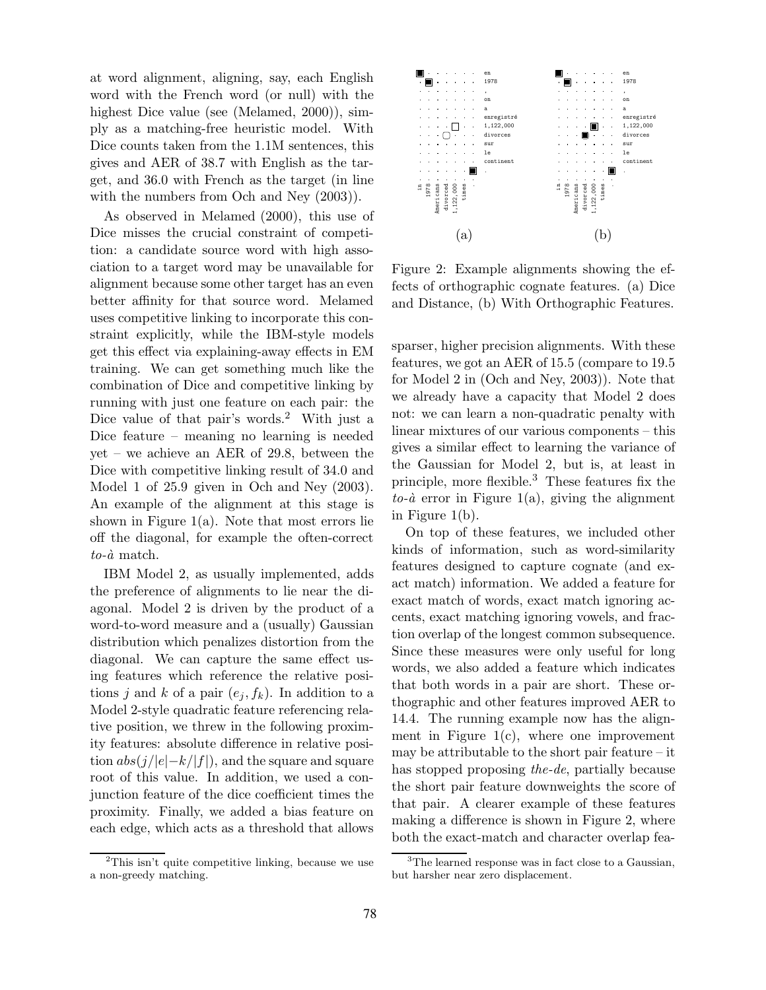at word alignment, aligning, say, each English word with the French word (or null) with the highest Dice value (see (Melamed, 2000)), simply as a matching-free heuristic model. With Dice counts taken from the 1.1M sentences, this gives and AER of 38.7 with English as the target, and 36.0 with French as the target (in line with the numbers from Och and Ney  $(2003)$ ).

As observed in Melamed (2000), this use of Dice misses the crucial constraint of competition: a candidate source word with high association to a target word may be unavailable for alignment because some other target has an even better affinity for that source word. Melamed uses competitive linking to incorporate this constraint explicitly, while the IBM-style models get this effect via explaining-away effects in EM training. We can get something much like the combination of Dice and competitive linking by running with just one feature on each pair: the Dice value of that pair's words.<sup>2</sup> With just a Dice feature – meaning no learning is needed yet – we achieve an AER of 29.8, between the Dice with competitive linking result of 34.0 and Model 1 of 25.9 given in Och and Ney (2003). An example of the alignment at this stage is shown in Figure  $1(a)$ . Note that most errors lie off the diagonal, for example the often-correct  $to$ - $\dot{a}$  match.

IBM Model 2, as usually implemented, adds the preference of alignments to lie near the diagonal. Model 2 is driven by the product of a word-to-word measure and a (usually) Gaussian distribution which penalizes distortion from the diagonal. We can capture the same effect using features which reference the relative positions j and k of a pair  $(e_j, f_k)$ . In addition to a Model 2-style quadratic feature referencing relative position, we threw in the following proximity features: absolute difference in relative position  $abs(j/|e|-k/|f|)$ , and the square and square root of this value. In addition, we used a conjunction feature of the dice coefficient times the proximity. Finally, we added a bias feature on each edge, which acts as a threshold that allows





Figure 2: Example alignments showing the effects of orthographic cognate features. (a) Dice and Distance, (b) With Orthographic Features.

sparser, higher precision alignments. With these features, we got an AER of 15.5 (compare to 19.5 for Model 2 in (Och and Ney, 2003)). Note that we already have a capacity that Model 2 does not: we can learn a non-quadratic penalty with linear mixtures of our various components – this gives a similar effect to learning the variance of the Gaussian for Model 2, but is, at least in principle, more flexible.<sup>3</sup> These features fix the  $to$ - $\dot{a}$  error in Figure 1(a), giving the alignment in Figure 1(b).

On top of these features, we included other kinds of information, such as word-similarity features designed to capture cognate (and exact match) information. We added a feature for exact match of words, exact match ignoring accents, exact matching ignoring vowels, and fraction overlap of the longest common subsequence. Since these measures were only useful for long words, we also added a feature which indicates that both words in a pair are short. These orthographic and other features improved AER to 14.4. The running example now has the alignment in Figure  $1(c)$ , where one improvement may be attributable to the short pair feature – it has stopped proposing *the-de*, partially because the short pair feature downweights the score of that pair. A clearer example of these features making a difference is shown in Figure 2, where both the exact-match and character overlap fea-

<sup>3</sup>The learned response was in fact close to a Gaussian, but harsher near zero displacement.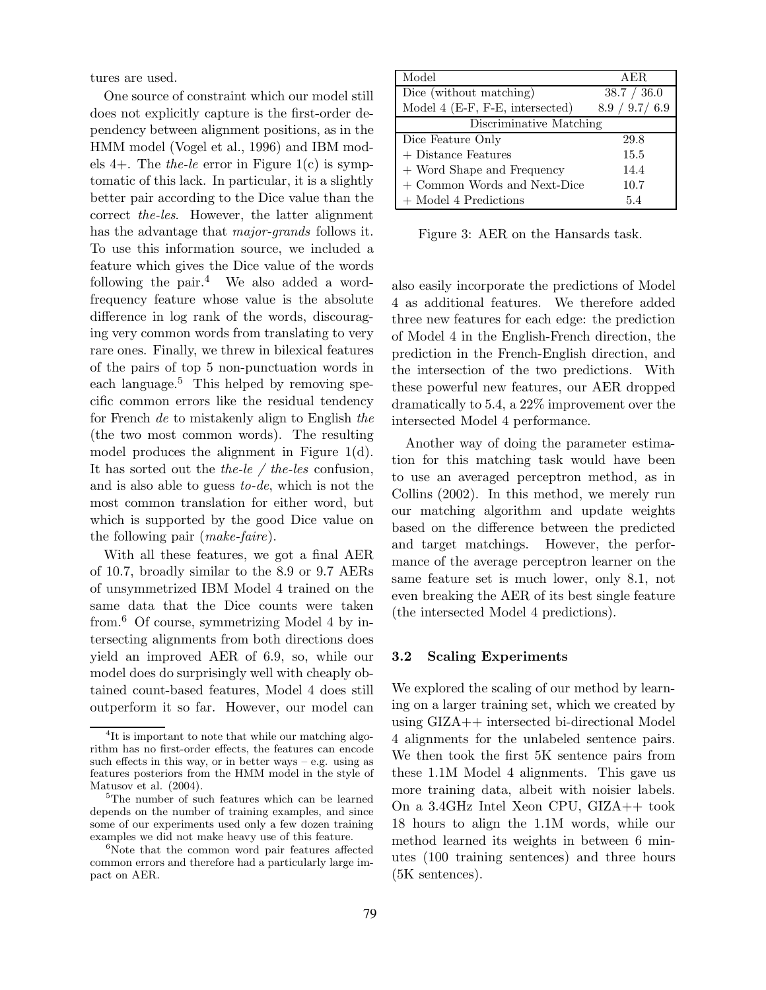tures are used.

One source of constraint which our model still does not explicitly capture is the first-order dependency between alignment positions, as in the HMM model (Vogel et al., 1996) and IBM models 4+. The *the-le* error in Figure 1(c) is symptomatic of this lack. In particular, it is a slightly better pair according to the Dice value than the correct *the-les*. However, the latter alignment has the advantage that *major-grands* follows it. To use this information source, we included a feature which gives the Dice value of the words following the pair. $4$  We also added a wordfrequency feature whose value is the absolute difference in log rank of the words, discouraging very common words from translating to very rare ones. Finally, we threw in bilexical features of the pairs of top 5 non-punctuation words in each language. $5$  This helped by removing specific common errors like the residual tendency for French *de* to mistakenly align to English *the* (the two most common words). The resulting model produces the alignment in Figure 1(d). It has sorted out the *the-le / the-les* confusion, and is also able to guess *to-de*, which is not the most common translation for either word, but which is supported by the good Dice value on the following pair (*make-faire*).

With all these features, we got a final AER of 10.7, broadly similar to the 8.9 or 9.7 AERs of unsymmetrized IBM Model 4 trained on the same data that the Dice counts were taken from.<sup>6</sup> Of course, symmetrizing Model 4 by intersecting alignments from both directions does yield an improved AER of 6.9, so, while our model does do surprisingly well with cheaply obtained count-based features, Model 4 does still outperform it so far. However, our model can

| Model                           | AER.            |
|---------------------------------|-----------------|
| Dice (without matching)         | 38.7 / 36.0     |
| Model 4 (E-F, F-E, intersected) | 8.9 / 9.7 / 6.9 |
| Discriminative Matching         |                 |
| Dice Feature Only               | 29.8            |
| + Distance Features             | 15.5            |
| + Word Shape and Frequency      | 14.4            |
| + Common Words and Next-Dice    | 10.7            |
| $+$ Model 4 Predictions         | 5.4             |

Figure 3: AER on the Hansards task.

also easily incorporate the predictions of Model 4 as additional features. We therefore added three new features for each edge: the prediction of Model 4 in the English-French direction, the prediction in the French-English direction, and the intersection of the two predictions. With these powerful new features, our AER dropped dramatically to 5.4, a 22% improvement over the intersected Model 4 performance.

Another way of doing the parameter estimation for this matching task would have been to use an averaged perceptron method, as in Collins (2002). In this method, we merely run our matching algorithm and update weights based on the difference between the predicted and target matchings. However, the performance of the average perceptron learner on the same feature set is much lower, only 8.1, not even breaking the AER of its best single feature (the intersected Model 4 predictions).

### **3.2 Scaling Experiments**

We explored the scaling of our method by learning on a larger training set, which we created by using GIZA++ intersected bi-directional Model 4 alignments for the unlabeled sentence pairs. We then took the first 5K sentence pairs from these 1.1M Model 4 alignments. This gave us more training data, albeit with noisier labels. On a 3.4GHz Intel Xeon CPU, GIZA++ took 18 hours to align the 1.1M words, while our method learned its weights in between 6 minutes (100 training sentences) and three hours (5K sentences).

<sup>&</sup>lt;sup>4</sup>It is important to note that while our matching algorithm has no first-order effects, the features can encode such effects in this way, or in better ways  $-$  e.g. using as features posteriors from the HMM model in the style of Matusov et al. (2004).

<sup>&</sup>lt;sup>5</sup>The number of such features which can be learned depends on the number of training examples, and since some of our experiments used only a few dozen training examples we did not make heavy use of this feature.

<sup>&</sup>lt;sup>6</sup>Note that the common word pair features affected common errors and therefore had a particularly large impact on AER.